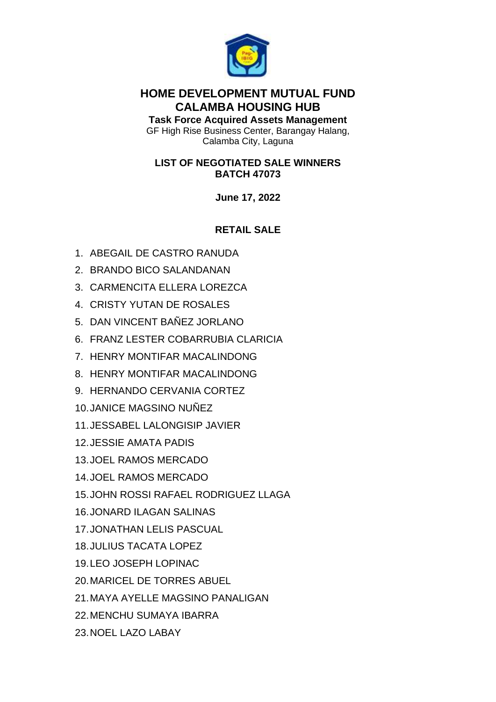

## **HOME DEVELOPMENT MUTUAL FUND CALAMBA HOUSING HUB**

**Task Force Acquired Assets Management** GF High Rise Business Center, Barangay Halang, Calamba City, Laguna

## **LIST OF NEGOTIATED SALE WINNERS BATCH 47073**

**June 17, 2022**

# **RETAIL SALE**

- 1. ABEGAIL DE CASTRO RANUDA
- 2. BRANDO BICO SALANDANAN
- 3. CARMENCITA ELLERA LOREZCA
- 4. CRISTY YUTAN DE ROSALES
- 5. DAN VINCENT BAÑEZ JORLANO
- 6. FRANZ LESTER COBARRUBIA CLARICIA
- 7. HENRY MONTIFAR MACALINDONG
- 8. HENRY MONTIFAR MACALINDONG
- 9. HERNANDO CERVANIA CORTEZ
- 10.JANICE MAGSINO NUÑEZ
- 11.JESSABEL LALONGISIP JAVIER
- 12.JESSIE AMATA PADIS
- 13.JOEL RAMOS MERCADO
- 14.JOEL RAMOS MERCADO
- 15.JOHN ROSSI RAFAEL RODRIGUEZ LLAGA
- 16.JONARD ILAGAN SALINAS
- 17.JONATHAN LELIS PASCUAL
- 18.JULIUS TACATA LOPEZ
- 19.LEO JOSEPH LOPINAC
- 20.MARICEL DE TORRES ABUEL
- 21.MAYA AYELLE MAGSINO PANALIGAN
- 22.MENCHU SUMAYA IBARRA
- 23.NOEL LAZO LABAY